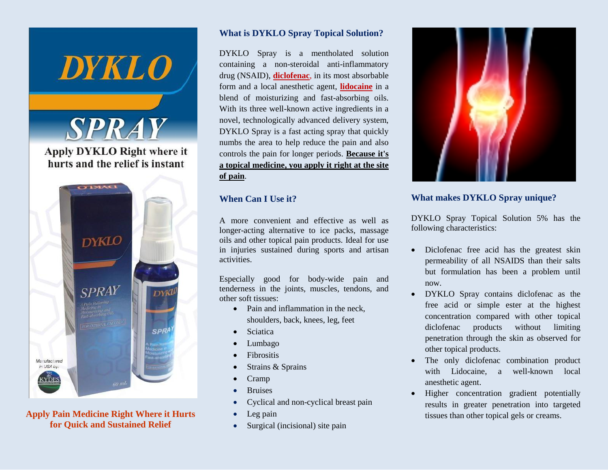

**Apply Pain Medicine Right Where it Hurts for Quick and Sustained Relief**

### **What is DYKLO Spray Topical Solution?**

DYKLO Spray is a mentholated solution containing a non-steroidal anti-inflammatory drug (NSAID), **diclofenac**, in its most absorbable form and a local anesthetic agent, **lidocaine** in a blend of moisturizing and fast-absorbing oils. With its three well-known active ingredients in a novel, technologically advanced delivery system, DYKLO Spray is a fast acting spray that quickly numbs the area to help reduce the pain and also controls the pain for longer periods. **Because it's a topical medicine, you apply it right at the site of pain**.

## **When Can I Use it?**

A more convenient and effective as well as longer-acting alternative to ice packs, massage oils and other topical pain products. Ideal for use in injuries sustained during sports and artisan activities.

Especially good for body-wide pain and tenderness in the joints, muscles, tendons, and other soft tissues:

- Pain and inflammation in the neck, shoulders, back, knees, leg, feet
- Sciatica
- Lumbago
- Fibrositis
- Strains & Sprains
- Cramp
- **Bruises**
- Cyclical and non-cyclical breast pain
- Leg pain
- Surgical (incisional) site pain



## **What makes DYKLO Spray unique?**

DYKLO Spray Topical Solution 5% has the following characteristics:

- Diclofenac free acid has the greatest skin permeability of all NSAIDS than their salts but formulation has been a problem until now.
- DYKLO Spray contains diclofenac as the free acid or simple ester at the highest concentration compared with other topical diclofenac products without limiting penetration through the skin as observed for other topical products.
- The only diclofenac combination product with Lidocaine, a well-known local anesthetic agent.
- Higher concentration gradient potentially results in greater penetration into targeted tissues than other topical gels or creams.